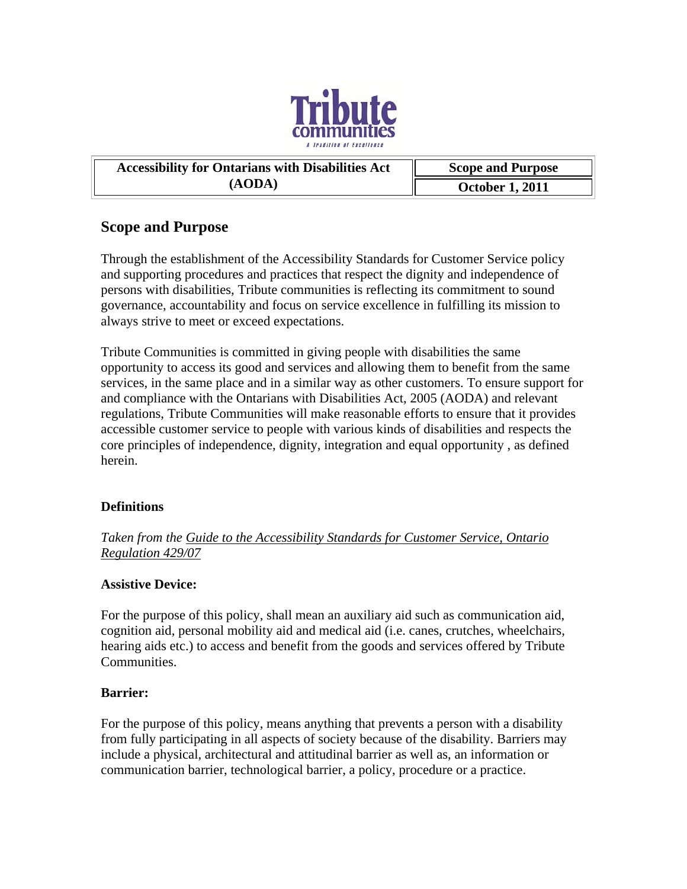

# Accessibility for Ontarians with Disabilities Act  $\parallel$  Scope and Purpose **(AODA) October 1, 2011**

# **Scope and Purpose**

Through the establishment of the Accessibility Standards for Customer Service policy and supporting procedures and practices that respect the dignity and independence of persons with disabilities, Tribute communities is reflecting its commitment to sound governance, accountability and focus on service excellence in fulfilling its mission to always strive to meet or exceed expectations.

Tribute Communities is committed in giving people with disabilities the same opportunity to access its good and services and allowing them to benefit from the same services, in the same place and in a similar way as other customers. To ensure support for and compliance with the Ontarians with Disabilities Act, 2005 (AODA) and relevant regulations, Tribute Communities will make reasonable efforts to ensure that it provides accessible customer service to people with various kinds of disabilities and respects the core principles of independence, dignity, integration and equal opportunity , as defined herein.

# **Definitions**

*Taken from the Guide to the Accessibility Standards for Customer Service, Ontario Regulation 429/07*

# **Assistive Device:**

For the purpose of this policy, shall mean an auxiliary aid such as communication aid, cognition aid, personal mobility aid and medical aid (i.e. canes, crutches, wheelchairs, hearing aids etc.) to access and benefit from the goods and services offered by Tribute **Communities** 

# **Barrier:**

For the purpose of this policy, means anything that prevents a person with a disability from fully participating in all aspects of society because of the disability. Barriers may include a physical, architectural and attitudinal barrier as well as, an information or communication barrier, technological barrier, a policy, procedure or a practice.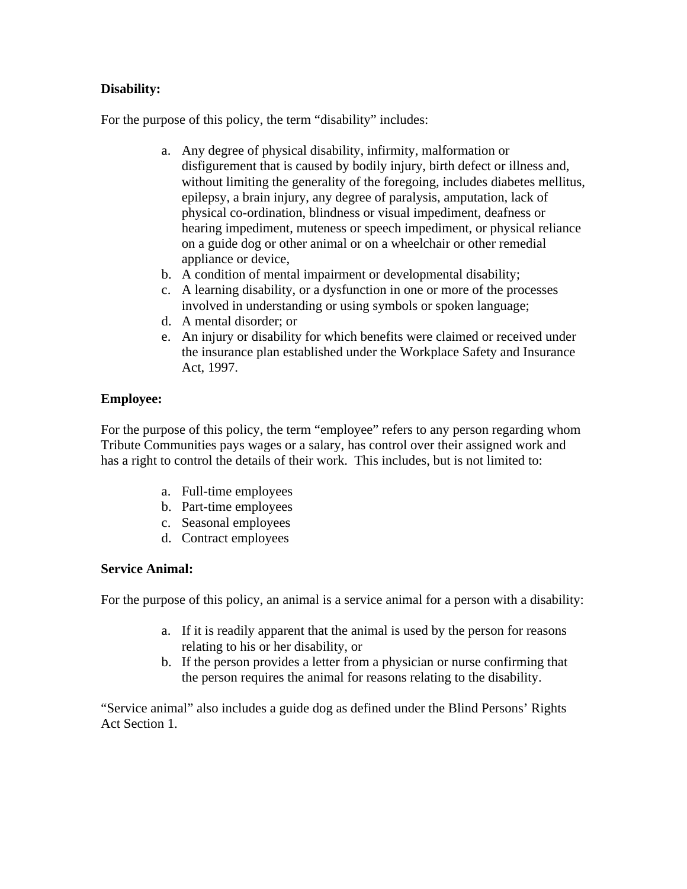# **Disability:**

For the purpose of this policy, the term "disability" includes:

- a. Any degree of physical disability, infirmity, malformation or disfigurement that is caused by bodily injury, birth defect or illness and, without limiting the generality of the foregoing, includes diabetes mellitus, epilepsy, a brain injury, any degree of paralysis, amputation, lack of physical co-ordination, blindness or visual impediment, deafness or hearing impediment, muteness or speech impediment, or physical reliance on a guide dog or other animal or on a wheelchair or other remedial appliance or device,
- b. A condition of mental impairment or developmental disability;
- c. A learning disability, or a dysfunction in one or more of the processes involved in understanding or using symbols or spoken language;
- d. A mental disorder; or
- e. An injury or disability for which benefits were claimed or received under the insurance plan established under the Workplace Safety and Insurance Act, 1997.

# **Employee:**

For the purpose of this policy, the term "employee" refers to any person regarding whom Tribute Communities pays wages or a salary, has control over their assigned work and has a right to control the details of their work. This includes, but is not limited to:

- a. Full-time employees
- b. Part-time employees
- c. Seasonal employees
- d. Contract employees

#### **Service Animal:**

For the purpose of this policy, an animal is a service animal for a person with a disability:

- a. If it is readily apparent that the animal is used by the person for reasons relating to his or her disability, or
- b. If the person provides a letter from a physician or nurse confirming that the person requires the animal for reasons relating to the disability.

"Service animal" also includes a guide dog as defined under the Blind Persons' Rights Act Section 1.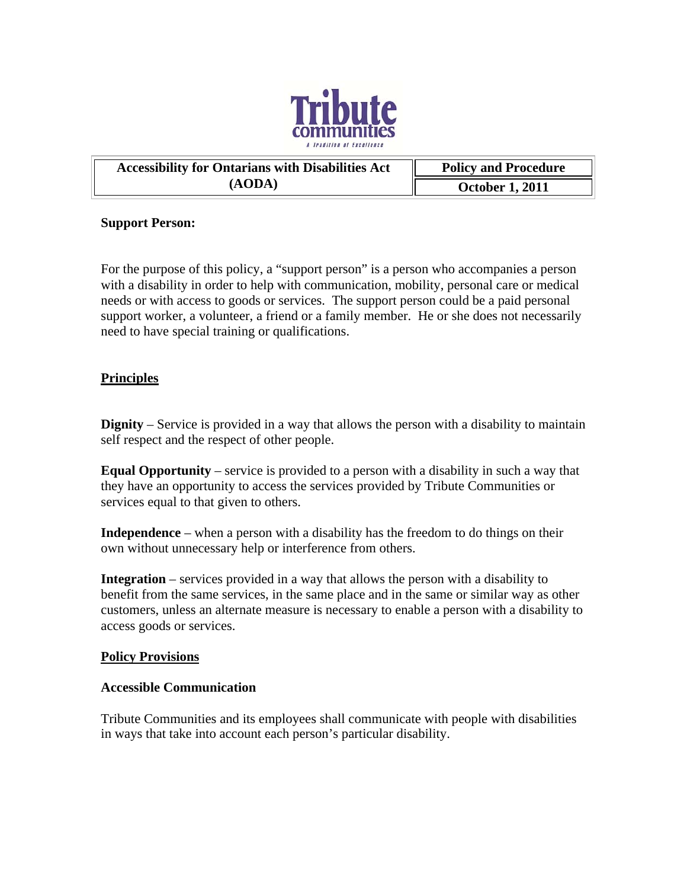

| <b>Accessibility for Ontarians with Disabilities Act</b> | <b>Policy and Procedure</b> |
|----------------------------------------------------------|-----------------------------|
| (AODA)                                                   | <b>October 1, 2011</b>      |

#### **Support Person:**

For the purpose of this policy, a "support person" is a person who accompanies a person with a disability in order to help with communication, mobility, personal care or medical needs or with access to goods or services. The support person could be a paid personal support worker, a volunteer, a friend or a family member. He or she does not necessarily need to have special training or qualifications.

### **Principles**

**Dignity** – Service is provided in a way that allows the person with a disability to maintain self respect and the respect of other people.

**Equal Opportunity** – service is provided to a person with a disability in such a way that they have an opportunity to access the services provided by Tribute Communities or services equal to that given to others.

**Independence** – when a person with a disability has the freedom to do things on their own without unnecessary help or interference from others.

**Integration** – services provided in a way that allows the person with a disability to benefit from the same services, in the same place and in the same or similar way as other customers, unless an alternate measure is necessary to enable a person with a disability to access goods or services.

#### **Policy Provisions**

#### **Accessible Communication**

Tribute Communities and its employees shall communicate with people with disabilities in ways that take into account each person's particular disability.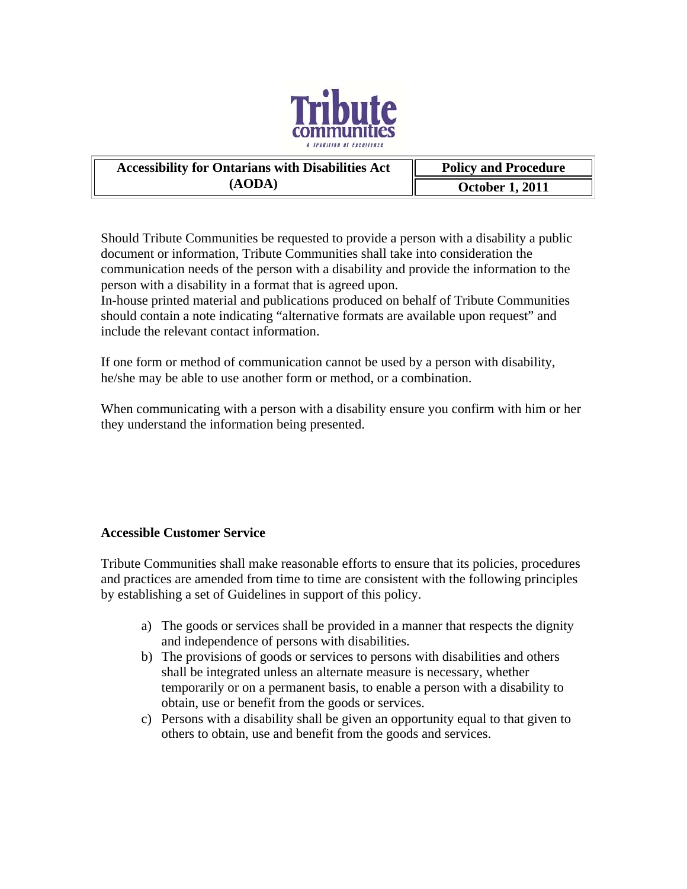

| <b>Accessibility for Ontarians with Disabilities Act</b> | <b>Policy and Procedure</b> |
|----------------------------------------------------------|-----------------------------|
| (AODA)                                                   | <b>October 1, 2011</b>      |

Should Tribute Communities be requested to provide a person with a disability a public document or information, Tribute Communities shall take into consideration the communication needs of the person with a disability and provide the information to the person with a disability in a format that is agreed upon.

In-house printed material and publications produced on behalf of Tribute Communities should contain a note indicating "alternative formats are available upon request" and include the relevant contact information.

If one form or method of communication cannot be used by a person with disability, he/she may be able to use another form or method, or a combination.

When communicating with a person with a disability ensure you confirm with him or her they understand the information being presented.

# **Accessible Customer Service**

Tribute Communities shall make reasonable efforts to ensure that its policies, procedures and practices are amended from time to time are consistent with the following principles by establishing a set of Guidelines in support of this policy.

- a) The goods or services shall be provided in a manner that respects the dignity and independence of persons with disabilities.
- b) The provisions of goods or services to persons with disabilities and others shall be integrated unless an alternate measure is necessary, whether temporarily or on a permanent basis, to enable a person with a disability to obtain, use or benefit from the goods or services.
- c) Persons with a disability shall be given an opportunity equal to that given to others to obtain, use and benefit from the goods and services.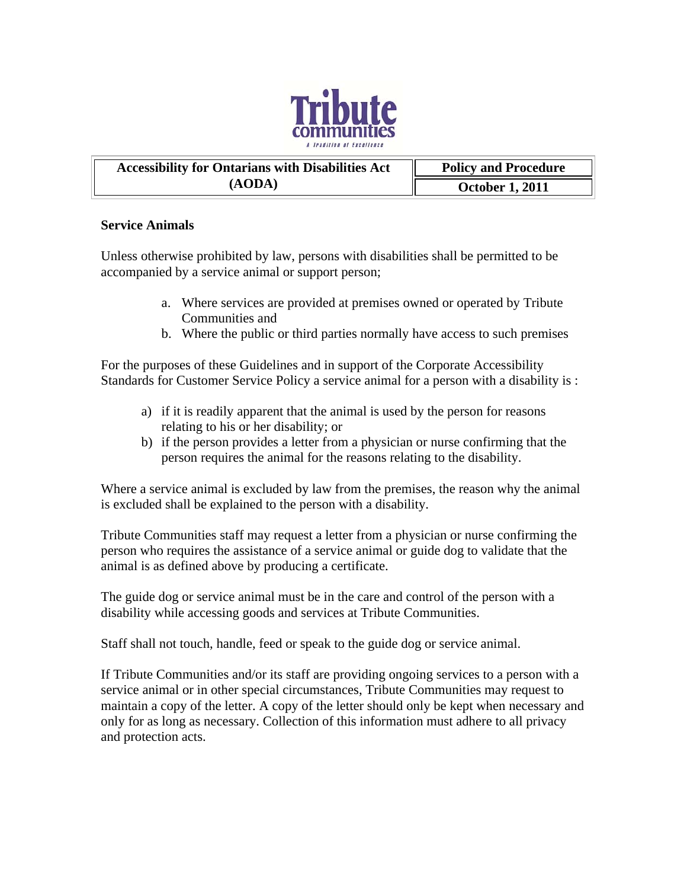

# **Accessibility for Ontarians with Disabilities Act Franch Policy and Procedure (AODA) October 1, 2011**

# **Service Animals**

Unless otherwise prohibited by law, persons with disabilities shall be permitted to be accompanied by a service animal or support person;

- a. Where services are provided at premises owned or operated by Tribute Communities and
- b. Where the public or third parties normally have access to such premises

For the purposes of these Guidelines and in support of the Corporate Accessibility Standards for Customer Service Policy a service animal for a person with a disability is :

- a) if it is readily apparent that the animal is used by the person for reasons relating to his or her disability; or
- b) if the person provides a letter from a physician or nurse confirming that the person requires the animal for the reasons relating to the disability.

Where a service animal is excluded by law from the premises, the reason why the animal is excluded shall be explained to the person with a disability.

Tribute Communities staff may request a letter from a physician or nurse confirming the person who requires the assistance of a service animal or guide dog to validate that the animal is as defined above by producing a certificate.

The guide dog or service animal must be in the care and control of the person with a disability while accessing goods and services at Tribute Communities.

Staff shall not touch, handle, feed or speak to the guide dog or service animal.

If Tribute Communities and/or its staff are providing ongoing services to a person with a service animal or in other special circumstances, Tribute Communities may request to maintain a copy of the letter. A copy of the letter should only be kept when necessary and only for as long as necessary. Collection of this information must adhere to all privacy and protection acts.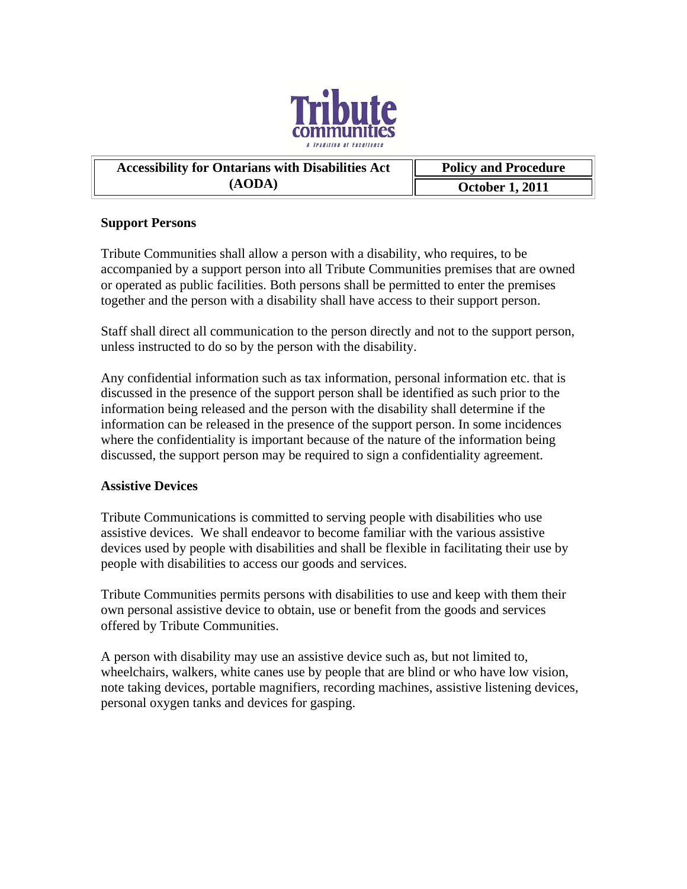

# **Accessibility for Ontarians with Disabilities Act Franch Policy and Procedure (AODA) October 1, 2011**

# **Support Persons**

Tribute Communities shall allow a person with a disability, who requires, to be accompanied by a support person into all Tribute Communities premises that are owned or operated as public facilities. Both persons shall be permitted to enter the premises together and the person with a disability shall have access to their support person.

Staff shall direct all communication to the person directly and not to the support person, unless instructed to do so by the person with the disability.

Any confidential information such as tax information, personal information etc. that is discussed in the presence of the support person shall be identified as such prior to the information being released and the person with the disability shall determine if the information can be released in the presence of the support person. In some incidences where the confidentiality is important because of the nature of the information being discussed, the support person may be required to sign a confidentiality agreement.

# **Assistive Devices**

Tribute Communications is committed to serving people with disabilities who use assistive devices. We shall endeavor to become familiar with the various assistive devices used by people with disabilities and shall be flexible in facilitating their use by people with disabilities to access our goods and services.

Tribute Communities permits persons with disabilities to use and keep with them their own personal assistive device to obtain, use or benefit from the goods and services offered by Tribute Communities.

A person with disability may use an assistive device such as, but not limited to, wheelchairs, walkers, white canes use by people that are blind or who have low vision, note taking devices, portable magnifiers, recording machines, assistive listening devices, personal oxygen tanks and devices for gasping.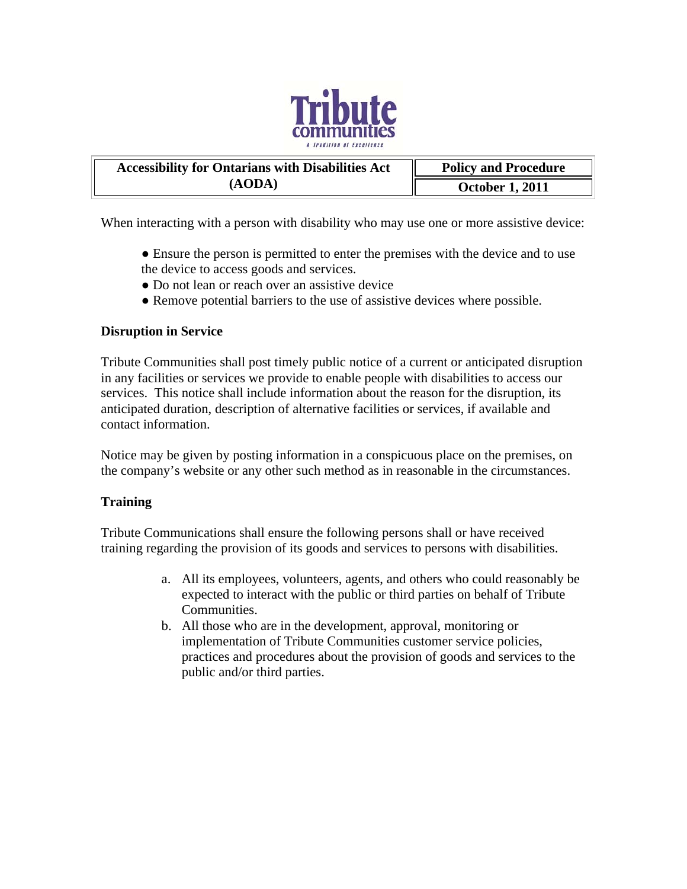

| <b>Accessibility for Ontarians with Disabilities Act</b> | <b>Policy and Procedure</b> |
|----------------------------------------------------------|-----------------------------|
| (AODA)                                                   | <b>October 1, 2011</b>      |

When interacting with a person with disability who may use one or more assistive device:

- Ensure the person is permitted to enter the premises with the device and to use the device to access goods and services.
- Do not lean or reach over an assistive device
- Remove potential barriers to the use of assistive devices where possible.

#### **Disruption in Service**

Tribute Communities shall post timely public notice of a current or anticipated disruption in any facilities or services we provide to enable people with disabilities to access our services. This notice shall include information about the reason for the disruption, its anticipated duration, description of alternative facilities or services, if available and contact information.

Notice may be given by posting information in a conspicuous place on the premises, on the company's website or any other such method as in reasonable in the circumstances.

#### **Training**

Tribute Communications shall ensure the following persons shall or have received training regarding the provision of its goods and services to persons with disabilities.

- a. All its employees, volunteers, agents, and others who could reasonably be expected to interact with the public or third parties on behalf of Tribute Communities.
- b. All those who are in the development, approval, monitoring or implementation of Tribute Communities customer service policies, practices and procedures about the provision of goods and services to the public and/or third parties.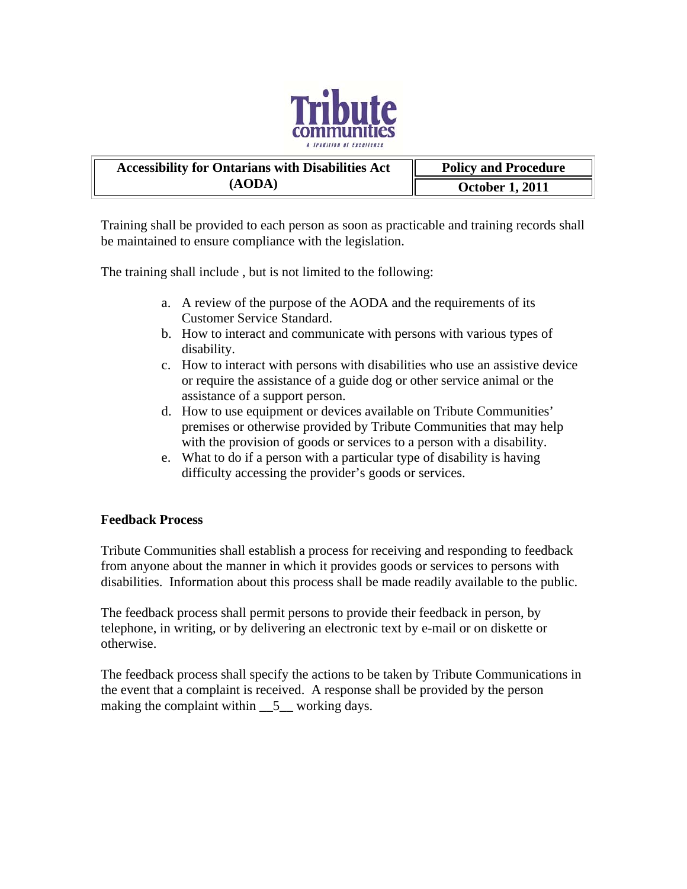

| <b>Accessibility for Ontarians with Disabilities Act</b> | <b>Policy and Procedure</b> |
|----------------------------------------------------------|-----------------------------|
| (AODA)                                                   | <b>October 1, 2011</b>      |

Training shall be provided to each person as soon as practicable and training records shall be maintained to ensure compliance with the legislation.

The training shall include , but is not limited to the following:

- a. A review of the purpose of the AODA and the requirements of its Customer Service Standard.
- b. How to interact and communicate with persons with various types of disability.
- c. How to interact with persons with disabilities who use an assistive device or require the assistance of a guide dog or other service animal or the assistance of a support person.
- d. How to use equipment or devices available on Tribute Communities' premises or otherwise provided by Tribute Communities that may help with the provision of goods or services to a person with a disability.
- e. What to do if a person with a particular type of disability is having difficulty accessing the provider's goods or services.

#### **Feedback Process**

Tribute Communities shall establish a process for receiving and responding to feedback from anyone about the manner in which it provides goods or services to persons with disabilities. Information about this process shall be made readily available to the public.

The feedback process shall permit persons to provide their feedback in person, by telephone, in writing, or by delivering an electronic text by e-mail or on diskette or otherwise.

The feedback process shall specify the actions to be taken by Tribute Communications in the event that a complaint is received. A response shall be provided by the person making the complaint within  $\_\_5\_\_$  working days.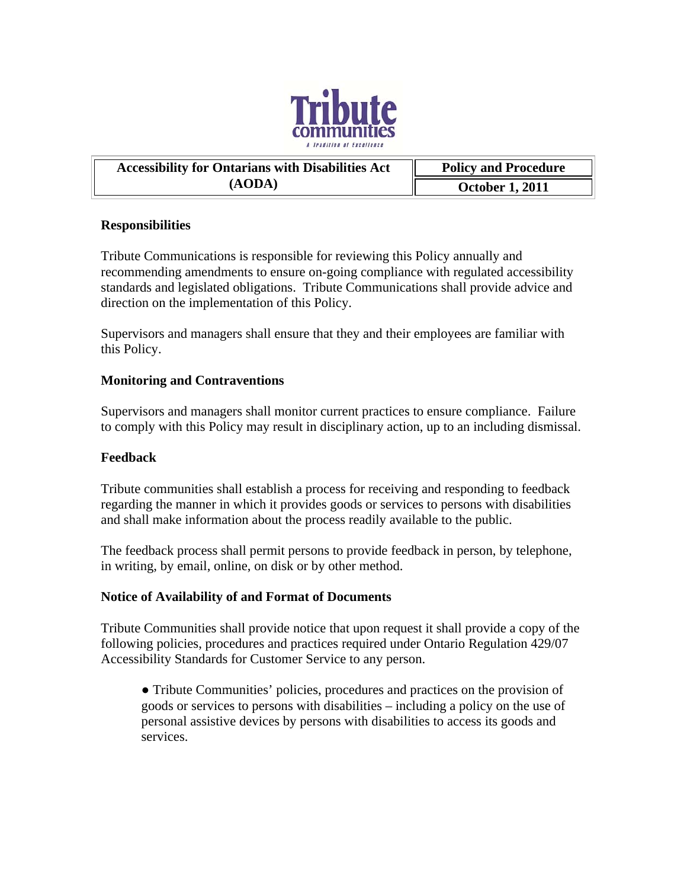

| <b>Accessibility for Ontarians with Disabilities Act</b> | <b>Policy and Procedure</b> |
|----------------------------------------------------------|-----------------------------|
| (AODA)                                                   | <b>October 1, 2011</b>      |

#### **Responsibilities**

Tribute Communications is responsible for reviewing this Policy annually and recommending amendments to ensure on-going compliance with regulated accessibility standards and legislated obligations. Tribute Communications shall provide advice and direction on the implementation of this Policy.

Supervisors and managers shall ensure that they and their employees are familiar with this Policy.

### **Monitoring and Contraventions**

Supervisors and managers shall monitor current practices to ensure compliance. Failure to comply with this Policy may result in disciplinary action, up to an including dismissal.

#### **Feedback**

Tribute communities shall establish a process for receiving and responding to feedback regarding the manner in which it provides goods or services to persons with disabilities and shall make information about the process readily available to the public.

The feedback process shall permit persons to provide feedback in person, by telephone, in writing, by email, online, on disk or by other method.

#### **Notice of Availability of and Format of Documents**

Tribute Communities shall provide notice that upon request it shall provide a copy of the following policies, procedures and practices required under Ontario Regulation 429/07 Accessibility Standards for Customer Service to any person.

• Tribute Communities' policies, procedures and practices on the provision of goods or services to persons with disabilities – including a policy on the use of personal assistive devices by persons with disabilities to access its goods and services.